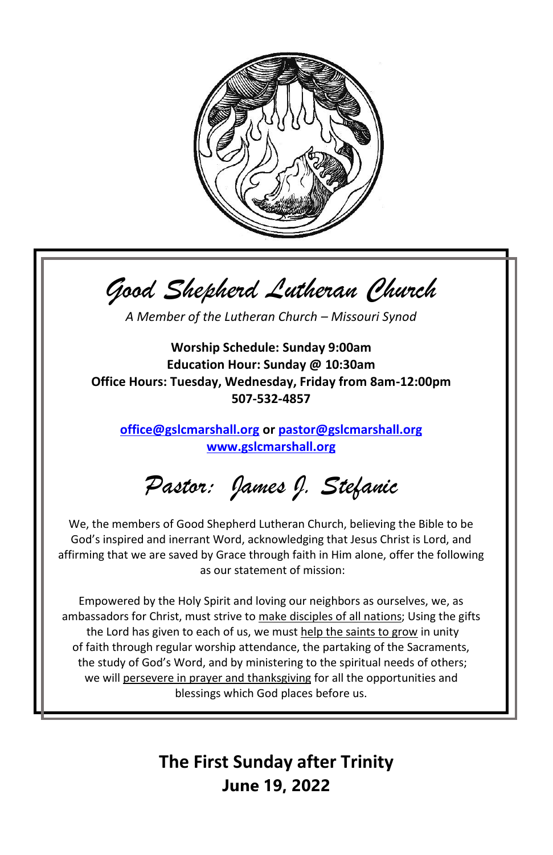

*Good Shepherd Lutheran Church*

*A Member of the Lutheran Church – Missouri Synod*

**Worship Schedule: Sunday 9:00am Education Hour: Sunday @ 10:30am Office Hours: Tuesday, Wednesday, Friday from 8am-12:00pm 507-532-4857**

**[office@gslcmarshall.org](mailto:office@gslcmarshall.org) o[r pastor@gslcmarshall.org](mailto:pastor@gslcmarshall.org) [www.gslcmarshall.org](http://www.gslcmarshall.org/)**

*Pastor: James J. Stefanic*

We, the members of Good Shepherd Lutheran Church, believing the Bible to be God's inspired and inerrant Word, acknowledging that Jesus Christ is Lord, and affirming that we are saved by Grace through faith in Him alone, offer the following as our statement of mission:

Empowered by the Holy Spirit and loving our neighbors as ourselves, we, as ambassadors for Christ, must strive to make disciples of all nations; Using the gifts the Lord has given to each of us, we must help the saints to grow in unity of faith through regular worship attendance, the partaking of the Sacraments, the study of God's Word, and by ministering to the spiritual needs of others; we will persevere in prayer and thanksgiving for all the opportunities and blessings which God places before us.

> **The First Sunday after Trinity June 19, 2022**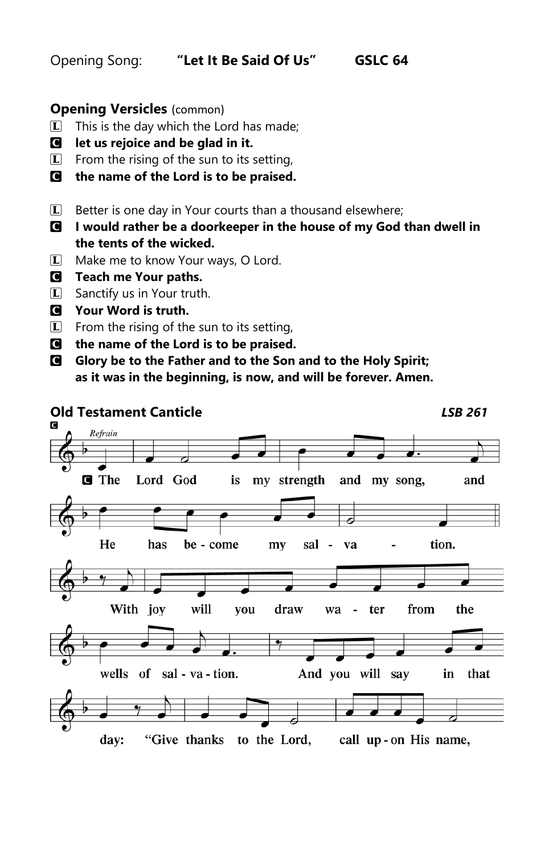Opening Song: **"Let It Be Said Of Us" GSLC 64**

## **Opening Versicles** (common)

- $\Box$  This is the day which the Lord has made;
- C **let us rejoice and be glad in it.**
- $\mathbb{L}$  From the rising of the sun to its setting,
- C **the name of the Lord is to be praised.**
- $\Box$  Better is one day in Your courts than a thousand elsewhere;
- C **I would rather be a doorkeeper in the house of my God than dwell in the tents of the wicked.**
- L Make me to know Your ways, O Lord.
- C **Teach me Your paths.**
- $\boxed{\mathbf{L}}$  Sanctify us in Your truth.
- C **Your Word is truth.**
- $\boxed{\mathbf{L}}$  From the rising of the sun to its setting,
- C **the name of the Lord is to be praised.**
- C **Glory be to the Father and to the Son and to the Holy Spirit; as it was in the beginning, is now, and will be forever. Amen.**



"Give thanks to the Lord, day: call up-on His name,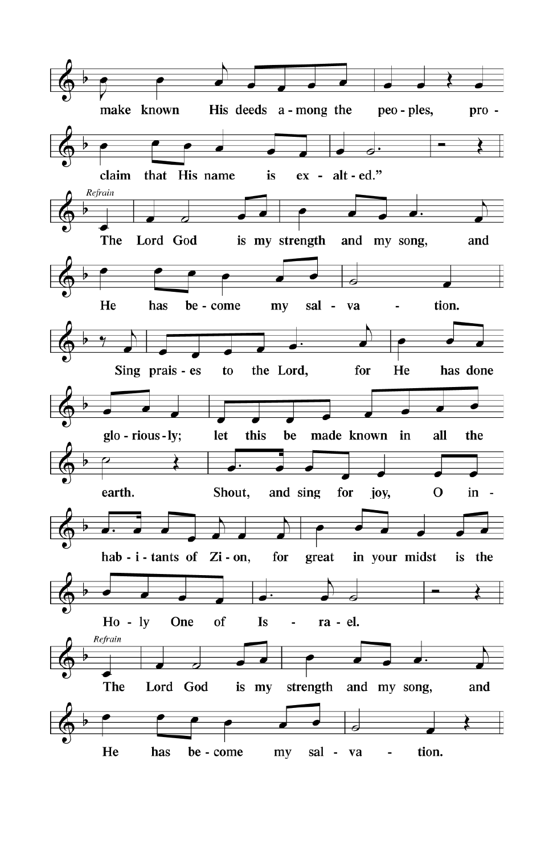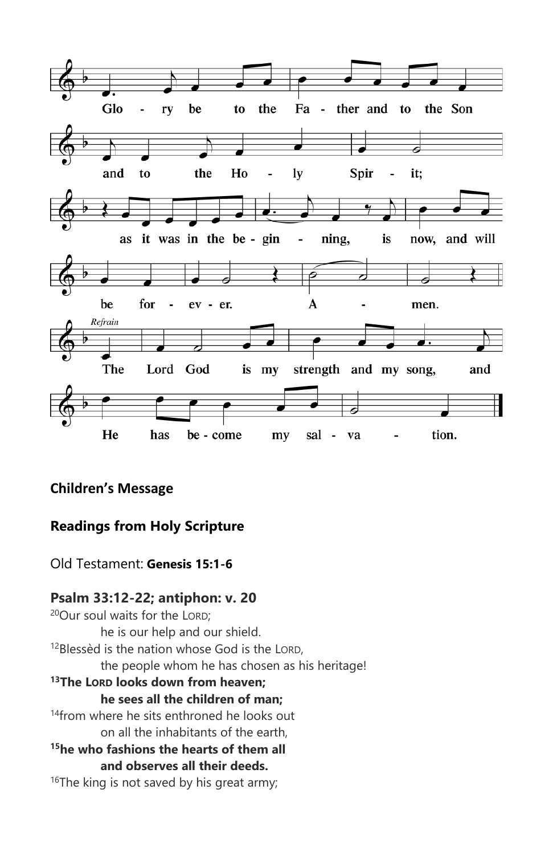

## **Children's Message**

## **Readings from Holy Scripture**

Old Testament: **Genesis 15:1-6**

#### **Psalm 33:12-22; antiphon: v. 20**

<sup>20</sup>Our soul waits for the LORD; he is our help and our shield. <sup>12</sup>Blessèd is the nation whose God is the LORD, the people whom he has chosen as his heritage! **<sup>13</sup>The LORD looks down from heaven; he sees all the children of man;** <sup>14</sup> from where he sits enthroned he looks out on all the inhabitants of the earth, **<sup>15</sup>he who fashions the hearts of them all and observes all their deeds.** <sup>16</sup>The king is not saved by his great army;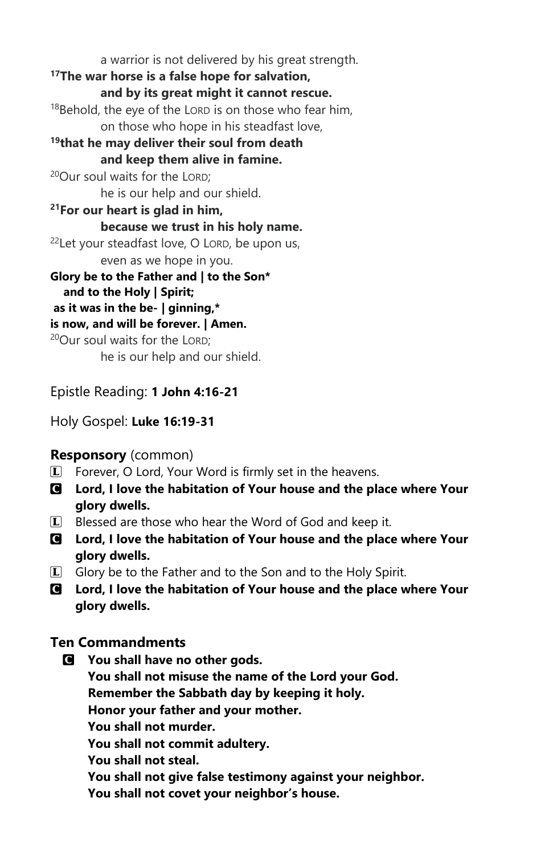a warrior is not delivered by his great strength. **<sup>17</sup>The war horse is a false hope for salvation, and by its great might it cannot rescue.**  $18$ Behold, the eye of the LORD is on those who fear him, on those who hope in his steadfast love, **<sup>19</sup>that he may deliver their soul from death and keep them alive in famine.** <sup>20</sup>Our soul waits for the LORD; he is our help and our shield. **<sup>21</sup>For our heart is glad in him, because we trust in his holy name.** <sup>22</sup>Let your steadfast love, O LORD, be upon us, even as we hope in you. **Glory be to the Father and | to the Son\* and to the Holy | Spirit; as it was in the be- | ginning,\* is now, and will be forever. | Amen.**  <sup>20</sup>Our soul waits for the LORD; he is our help and our shield.

Epistle Reading: **1 John 4:16-21**

Holy Gospel: **Luke 16:19-31**

#### **Responsory** (common)

- $\mathbb{L}$  Forever, O Lord, Your Word is firmly set in the heavens.
- C **Lord, I love the habitation of Your house and the place where Your glory dwells.**
- $\Box$  Blessed are those who hear the Word of God and keep it.
- C **Lord, I love the habitation of Your house and the place where Your glory dwells.**
- $\Box$  Glory be to the Father and to the Son and to the Holy Spirit.
- C **Lord, I love the habitation of Your house and the place where Your glory dwells.**

#### **Ten Commandments**

C **You shall have no other gods. You shall not misuse the name of the Lord your God. Remember the Sabbath day by keeping it holy. Honor your father and your mother. You shall not murder. You shall not commit adultery. You shall not steal. You shall not give false testimony against your neighbor. You shall not covet your neighbor's house.**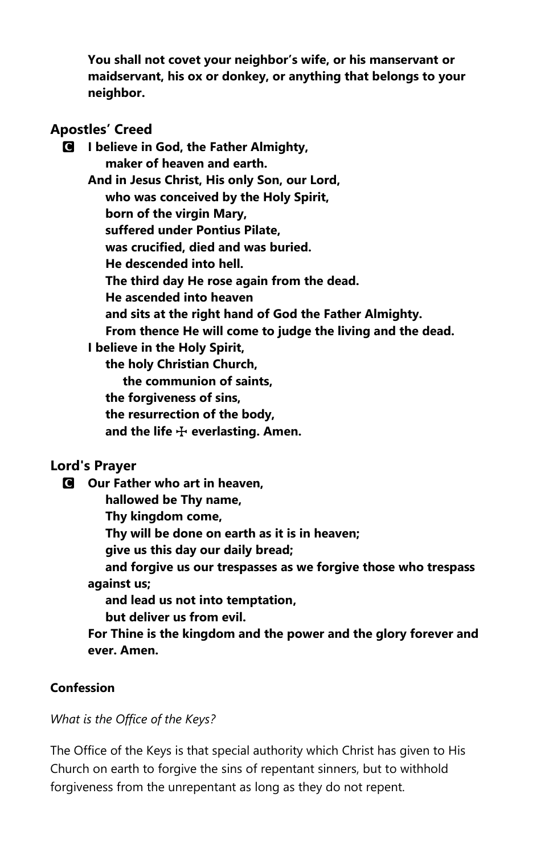**You shall not covet your neighbor's wife, or his manservant or maidservant, his ox or donkey, or anything that belongs to your neighbor.**

#### **Apostles' Creed**

C **I believe in God, the Father Almighty, maker of heaven and earth. And in Jesus Christ, His only Son, our Lord, who was conceived by the Holy Spirit, born of the virgin Mary, suffered under Pontius Pilate, was crucified, died and was buried. He descended into hell. The third day He rose again from the dead. He ascended into heaven and sits at the right hand of God the Father Almighty. From thence He will come to judge the living and the dead. I believe in the Holy Spirit, the holy Christian Church, the communion of saints, the forgiveness of sins, the resurrection of the body,** and the life  $\bigoplus$  everlasting. Amen.

#### **Lord's Prayer**

C **Our Father who art in heaven, hallowed be Thy name, Thy kingdom come, Thy will be done on earth as it is in heaven; give us this day our daily bread; and forgive us our trespasses as we forgive those who trespass against us; and lead us not into temptation, but deliver us from evil. For Thine is the kingdom and the power and the glory forever and ever. Amen.**

## **Confession**

*What is the Office of the Keys?*

The Office of the Keys is that special authority which Christ has given to His Church on earth to forgive the sins of repentant sinners, but to withhold forgiveness from the unrepentant as long as they do not repent.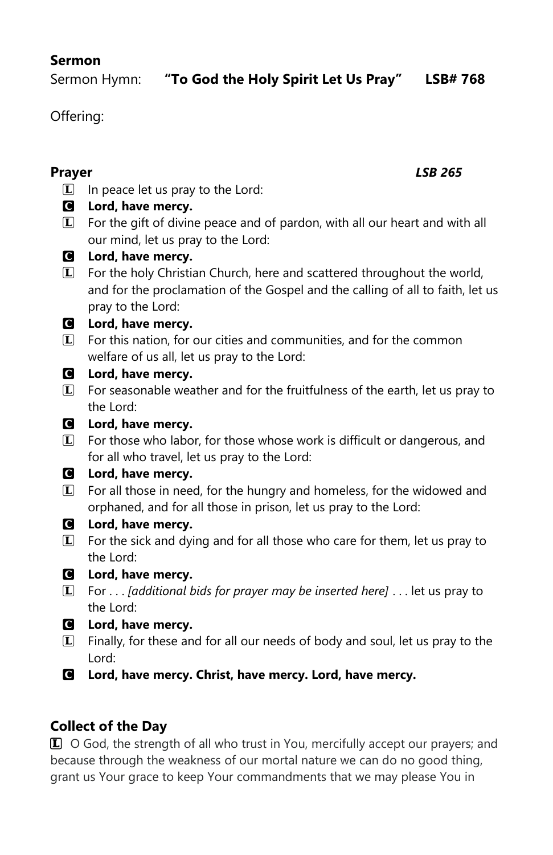## **Sermon**

Offering:

#### **Prayer** *LSB 265*

 $\Box$  In peace let us pray to the Lord:

## C **Lord, have mercy.**

 $\mathbb{L}$  For the gift of divine peace and of pardon, with all our heart and with all our mind, let us pray to the Lord:

## C **Lord, have mercy.**

L For the holy Christian Church, here and scattered throughout the world, and for the proclamation of the Gospel and the calling of all to faith, let us pray to the Lord:

## C **Lord, have mercy.**

**L** For this nation, for our cities and communities, and for the common welfare of us all, let us pray to the Lord:

## C **Lord, have mercy.**

 $\Box$  For seasonable weather and for the fruitfulness of the earth, let us pray to the Lord:

## C **Lord, have mercy.**

**L** For those who labor, for those whose work is difficult or dangerous, and for all who travel, let us pray to the Lord:

## C **Lord, have mercy.**

 $I$  For all those in need, for the hungry and homeless, for the widowed and orphaned, and for all those in prison, let us pray to the Lord:

## C **Lord, have mercy.**

 $\boxed{\mathbf{L}}$  For the sick and dying and for all those who care for them, let us pray to the Lord:

# C **Lord, have mercy.**

- L For . . . *[additional bids for prayer may be inserted here]* . . . let us pray to the Lord:
- C **Lord, have mercy.**
- $L$  Finally, for these and for all our needs of body and soul, let us pray to the Lord:
- C **Lord, have mercy. Christ, have mercy. Lord, have mercy.**

# **Collect of the Day**

**L** O God, the strength of all who trust in You, mercifully accept our prayers; and because through the weakness of our mortal nature we can do no good thing, grant us Your grace to keep Your commandments that we may please You in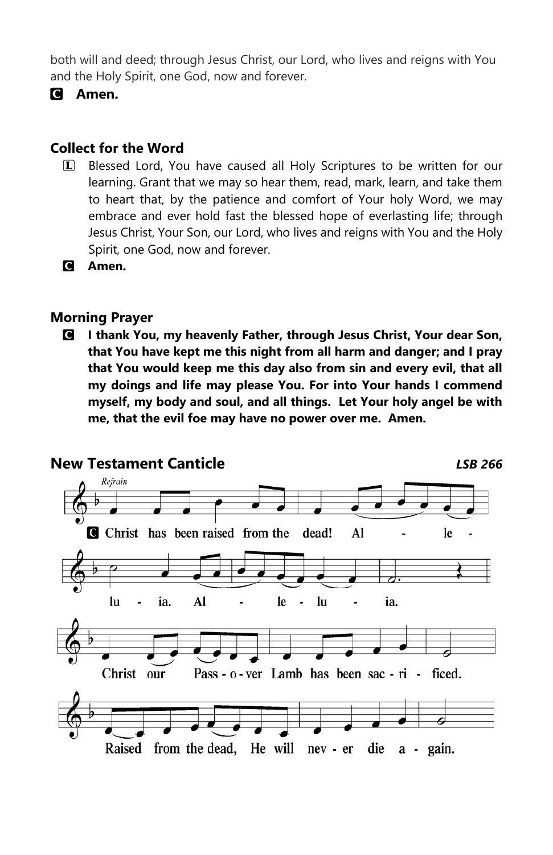both will and deed; through Jesus Christ, our Lord, who lives and reigns with You and the Holy Spirit, one God, now and forever.

C **Amen.**

## **Collect for the Word**

- L Blessed Lord, You have caused all Holy Scriptures to be written for our learning. Grant that we may so hear them, read, mark, learn, and take them to heart that, by the patience and comfort of Your holy Word, we may embrace and ever hold fast the blessed hope of everlasting life; through Jesus Christ, Your Son, our Lord, who lives and reigns with You and the Holy Spirit, one God, now and forever.
- C **Amen.**

#### **Morning Prayer**

C **I thank You, my heavenly Father, through Jesus Christ, Your dear Son, that You have kept me this night from all harm and danger; and I pray that You would keep me this day also from sin and every evil, that all my doings and life may please You. For into Your hands I commend myself, my body and soul, and all things. Let Your holy angel be with me, that the evil foe may have no power over me. Amen.** 

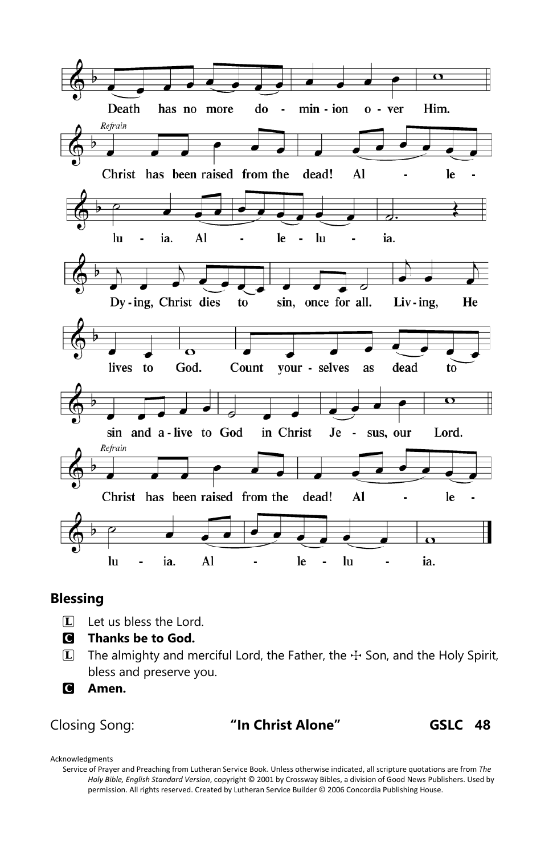

#### **Blessing**

- $\Box$  Let us bless the Lord.
- C **Thanks be to God.**
- $\Box$  The almighty and merciful Lord, the Father, the  $\pm$  Son, and the Holy Spirit, bless and preserve you.
- C **Amen.**

Closing Song: **"In Christ Alone" GSLC 48**

Acknowledgments

Service of Prayer and Preaching from Lutheran Service Book. Unless otherwise indicated, all scripture quotations are from *The Holy Bible, English Standard Version*, copyright © 2001 by Crossway Bibles, a division of Good News Publishers. Used by permission. All rights reserved. Created by Lutheran Service Builder © 2006 Concordia Publishing House.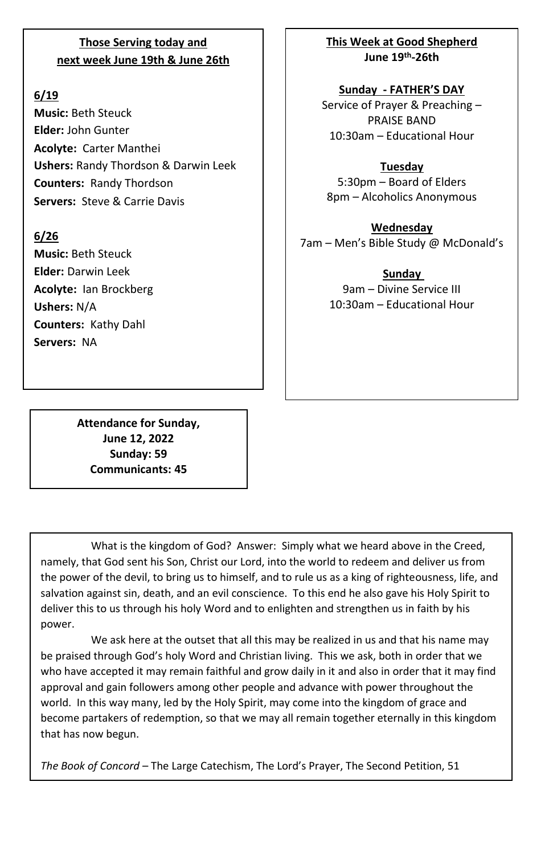#### **Those Serving today and next week June 19th & June 26th**

#### **6/19**

**Music:** Beth Steuck **Elder:** John Gunter **Acolyte:** Carter Manthei **Ushers:** Randy Thordson & Darwin Leek **Counters:** Randy Thordson **Servers:** Steve & Carrie Davis

#### **6/26**

**Music:** Beth Steuck **Elder:** Darwin Leek **Acolyte:** Ian Brockberg **Ushers:** N/A **Counters:** Kathy Dahl **Servers:** NA

**This Week at Good Shepherd June 19 th-26th**

**Sunday - FATHER'S DAY** Service of Prayer & Preaching – PRAISE BAND 10:30am – Educational Hour

**Tuesday** 5:30pm – Board of Elders 8pm – Alcoholics Anonymous

**Wednesday** 7am – Men's Bible Study @ McDonald's

> **Sunday**  9am – Divine Service III 10:30am – Educational Hour

**Attendance for Sunday, June 12, 2022 Sunday: 59 Communicants: 45**

What is the kingdom of God? Answer: Simply what we heard above in the Creed, namely, that God sent his Son, Christ our Lord, into the world to redeem and deliver us from the power of the devil, to bring us to himself, and to rule us as a king of righteousness, life, and salvation against sin, death, and an evil conscience. To this end he also gave his Holy Spirit to deliver this to us through his holy Word and to enlighten and strengthen us in faith by his power.

We ask here at the outset that all this may be realized in us and that his name may be praised through God's holy Word and Christian living. This we ask, both in order that we who have accepted it may remain faithful and grow daily in it and also in order that it may find approval and gain followers among other people and advance with power throughout the world. In this way many, led by the Holy Spirit, may come into the kingdom of grace and become partakers of redemption, so that we may all remain together eternally in this kingdom that has now begun.

*The Book of Concord* – The Large Catechism, The Lord's Prayer, The Second Petition, 51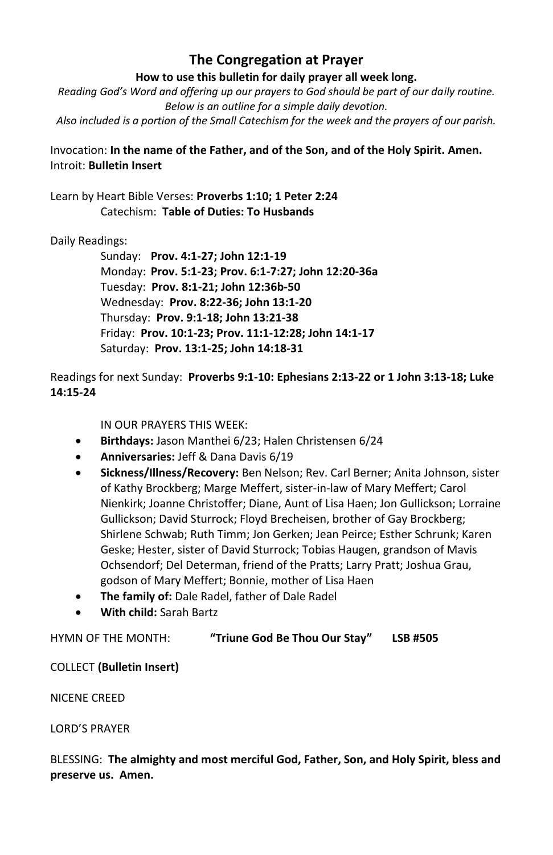#### **The Congregation at Prayer**

**How to use this bulletin for daily prayer all week long.**

*Reading God's Word and offering up our prayers to God should be part of our daily routine. Below is an outline for a simple daily devotion. Also included is a portion of the Small Catechism for the week and the prayers of our parish.*

#### Invocation: **In the name of the Father, and of the Son, and of the Holy Spirit. Amen.** Introit: **Bulletin Insert**

Learn by Heart Bible Verses: **Proverbs 1:10; 1 Peter 2:24** Catechism: **Table of Duties: To Husbands**

#### Daily Readings:

Sunday: **Prov. 4:1-27; John 12:1-19** Monday: **Prov. 5:1-23; Prov. 6:1-7:27; John 12:20-36a** Tuesday: **Prov. 8:1-21; John 12:36b-50** Wednesday: **Prov. 8:22-36; John 13:1-20** Thursday: **Prov. 9:1-18; John 13:21-38** Friday: **Prov. 10:1-23; Prov. 11:1-12:28; John 14:1-17** Saturday: **Prov. 13:1-25; John 14:18-31**

Readings for next Sunday: **Proverbs 9:1-10: Ephesians 2:13-22 or 1 John 3:13-18; Luke 14:15-24** 

IN OUR PRAYERS THIS WEEK:

- **Birthdays:** Jason Manthei 6/23; Halen Christensen 6/24
- **Anniversaries:** Jeff & Dana Davis 6/19
- **Sickness/Illness/Recovery:** Ben Nelson; Rev. Carl Berner; Anita Johnson, sister of Kathy Brockberg; Marge Meffert, sister-in-law of Mary Meffert; Carol Nienkirk; Joanne Christoffer; Diane, Aunt of Lisa Haen; Jon Gullickson; Lorraine Gullickson; David Sturrock; Floyd Brecheisen, brother of Gay Brockberg; Shirlene Schwab; Ruth Timm; Jon Gerken; Jean Peirce; Esther Schrunk; Karen Geske; Hester, sister of David Sturrock; Tobias Haugen, grandson of Mavis Ochsendorf; Del Determan, friend of the Pratts; Larry Pratt; Joshua Grau, godson of Mary Meffert; Bonnie, mother of Lisa Haen
- **The family of:** Dale Radel, father of Dale Radel
- **With child:** Sarah Bartz

#### HYMN OF THE MONTH: **"Triune God Be Thou Our Stay" LSB #505**

COLLECT **(Bulletin Insert)**

NICENE CREED

LORD'S PRAYER

BLESSING: **The almighty and most merciful God, Father, Son, and Holy Spirit, bless and preserve us. Amen.**